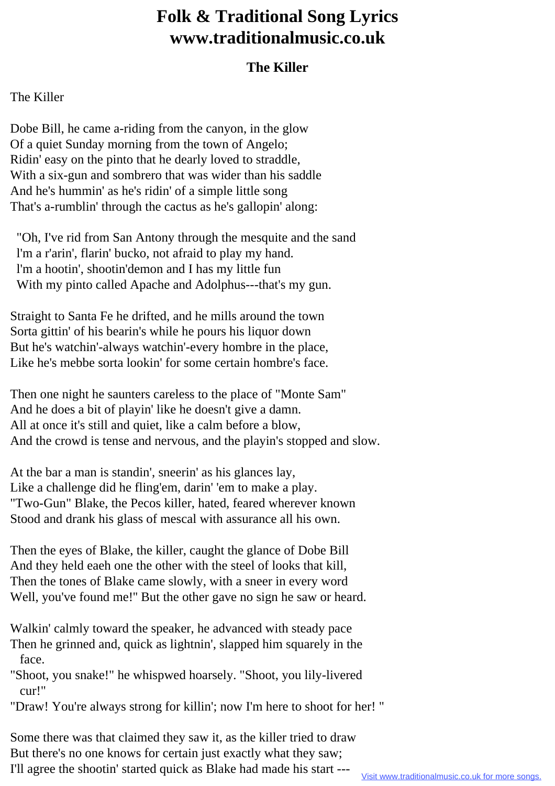## **Folk & Traditional Song Lyrics www.traditionalmusic.co.uk**

## **The Killer**

The Killer

Dobe Bill, he came a-riding from the canyon, in the glow Of a quiet Sunday morning from the town of Angelo; Ridin' easy on the pinto that he dearly loved to straddle, With a six-gun and sombrero that was wider than his saddle And he's hummin' as he's ridin' of a simple little song That's a-rumblin' through the cactus as he's gallopin' along:

 "Oh, I've rid from San Antony through the mesquite and the sand l'm a r'arin', flarin' bucko, not afraid to play my hand. l'm a hootin', shootin'demon and I has my little fun With my pinto called Apache and Adolphus---that's my gun.

Straight to Santa Fe he drifted, and he mills around the town Sorta gittin' of his bearin's while he pours his liquor down But he's watchin'-always watchin'-every hombre in the place, Like he's mebbe sorta lookin' for some certain hombre's face.

Then one night he saunters careless to the place of "Monte Sam" And he does a bit of playin' like he doesn't give a damn. All at once it's still and quiet, like a calm before a blow, And the crowd is tense and nervous, and the playin's stopped and slow.

At the bar a man is standin', sneerin' as his glances lay, Like a challenge did he fling'em, darin' 'em to make a play. "Two-Gun" Blake, the Pecos killer, hated, feared wherever known Stood and drank his glass of mescal with assurance all his own.

Then the eyes of Blake, the killer, caught the glance of Dobe Bill And they held eaeh one the other with the steel of looks that kill, Then the tones of Blake came slowly, with a sneer in every word Well, you've found me!'' But the other gave no sign he saw or heard.

Walkin' calmly toward the speaker, he advanced with steady pace Then he grinned and, quick as lightnin', slapped him squarely in the face.

"Shoot, you snake!" he whispwed hoarsely. "Shoot, you lily-livered cur!"

"Draw! You're always strong for killin'; now I'm here to shoot for her! "

Some there was that claimed they saw it, as the killer tried to draw But there's no one knows for certain just exactly what they saw; I'll agree the shootin' started quick as Blake had made his start ---